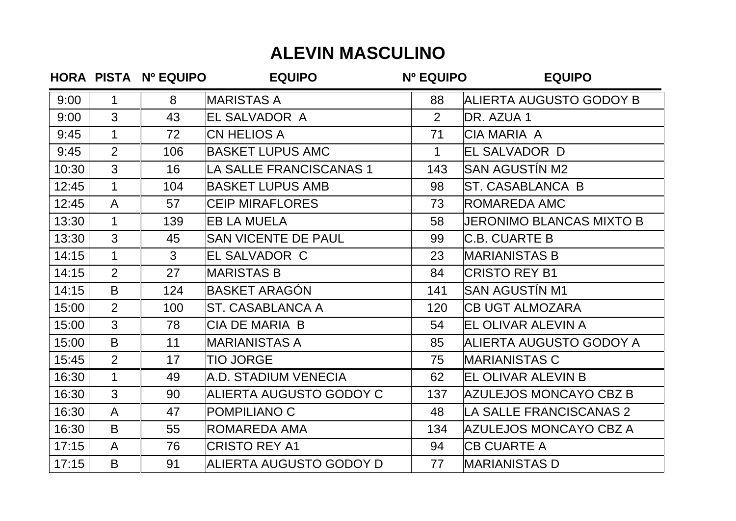## **ALEVIN MASCULINO**

|       |                | HORA PISTA Nº EQUIPO | <b>EQUIPO</b>                  | Nº EQUIPO      | <b>EQUIPO</b>                 |
|-------|----------------|----------------------|--------------------------------|----------------|-------------------------------|
| 9:00  | 1              | 8                    | <b>MARISTAS A</b>              | 88             | ALIERTA AUGUSTO GODOY B       |
| 9:00  | $\overline{3}$ | 43                   | EL SALVADOR A                  | $\overline{2}$ | DR. AZUA 1                    |
| 9:45  | $\mathbf{1}$   | 72                   | <b>CN HELIOS A</b>             | 71             | <b>CIA MARIA A</b>            |
| 9:45  | $\overline{2}$ | 106                  | <b>BASKET LUPUS AMC</b>        | $\mathbf 1$    | EL SALVADOR D                 |
| 10:30 | $\overline{3}$ | 16                   | LA SALLE FRANCISCANAS 1        | 143            | <b>SAN AGUSTÍN M2</b>         |
| 12:45 | $\mathbf 1$    | 104                  | <b>BASKET LUPUS AMB</b>        | 98             | <b>ST. CASABLANCA B</b>       |
| 12:45 | $\mathsf{A}$   | 57                   | <b>CEIP MIRAFLORES</b>         | 73             | <b>ROMAREDA AMC</b>           |
| 13:30 | $\mathbf{1}$   | 139                  | <b>EB LA MUELA</b>             | 58             | JERONIMO BLANCAS MIXTO B      |
| 13:30 | $\overline{3}$ | 45                   | <b>SAN VICENTE DE PAUL</b>     | 99             | <b>C.B. CUARTE B</b>          |
| 14:15 | $\mathbf{1}$   | 3                    | <b>EL SALVADOR C</b>           | 23             | <b>MARIANISTAS B</b>          |
| 14:15 | $\overline{2}$ | 27                   | <b>MARISTAS B</b>              | 84             | <b>CRISTO REY B1</b>          |
| 14:15 | B              | 124                  | <b>BASKET ARAGÓN</b>           | 141            | SAN AGUSTÍN M1                |
| 15:00 | $\overline{2}$ | 100                  | ST. CASABLANCA A               | 120            | <b>CB UGT ALMOZARA</b>        |
| 15:00 | $\overline{3}$ | 78                   | <b>CIA DE MARIA B</b>          | 54             | EL OLIVAR ALEVIN A            |
| 15:00 | B              | 11                   | <b>MARIANISTAS A</b>           | 85             | ALIERTA AUGUSTO GODOY A       |
| 15:45 | $\overline{2}$ | 17                   | <b>TIO JORGE</b>               | 75             | <b>MARIANISTAS C</b>          |
| 16:30 | $\mathbf 1$    | 49                   | A.D. STADIUM VENECIA           | 62             | <b>EL OLIVAR ALEVIN B</b>     |
| 16:30 | $\overline{3}$ | 90                   | ALIERTA AUGUSTO GODOY C        | 137            | <b>AZULEJOS MONCAYO CBZ B</b> |
| 16:30 | $\mathsf{A}$   | 47                   | POMPILIANO C                   | 48             | LA SALLE FRANCISCANAS 2       |
| 16:30 | B              | 55                   | <b>ROMAREDA AMA</b>            | 134            | AZULEJOS MONCAYO CBZ A        |
| 17:15 | $\mathsf{A}$   | 76                   | <b>CRISTO REY A1</b>           | 94             | <b>CB CUARTE A</b>            |
| 17:15 | B              | 91                   | <b>ALIERTA AUGUSTO GODOY D</b> | 77             | <b>MARIANISTAS D</b>          |